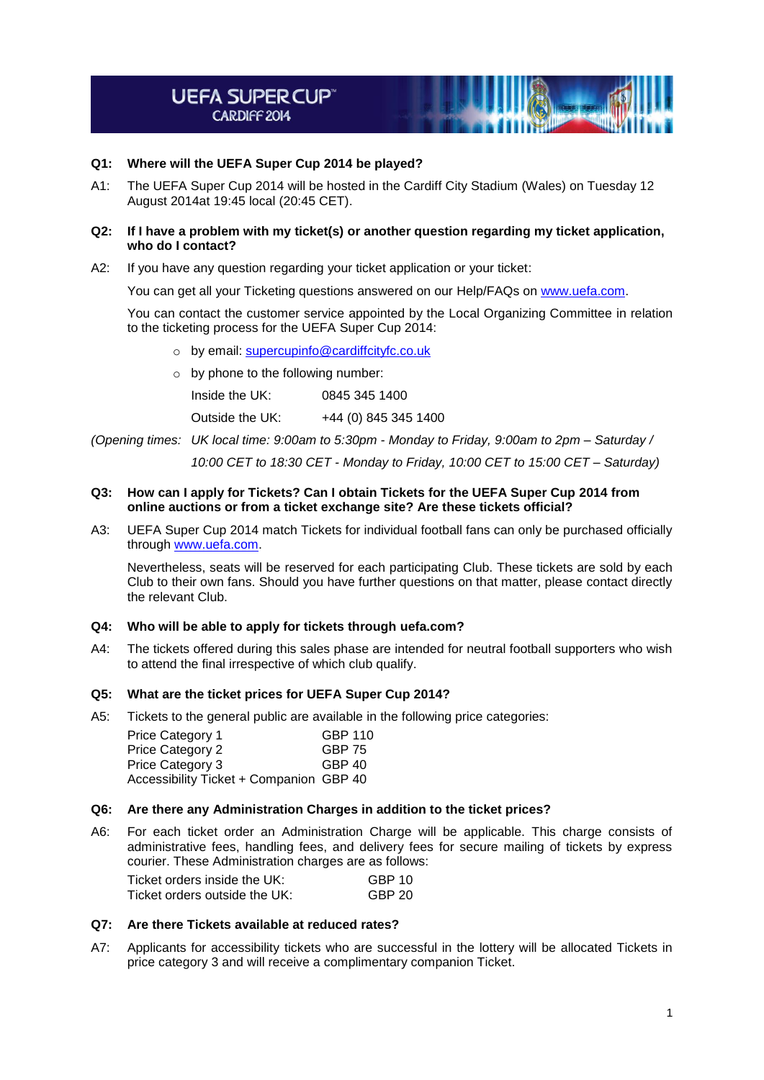# **UEFA SUPERCUP CARDIFF 2014**

# **Q1: Where will the UEFA Super Cup 2014 be played?**

A1: The UEFA Super Cup 2014 will be hosted in the Cardiff City Stadium (Wales) on Tuesday 12 August 2014at 19:45 local (20:45 CET).

## **Q2: If I have a problem with my ticket(s) or another question regarding my ticket application, who do I contact?**

A2: If you have any question regarding your ticket application or your ticket:

You can get all your Ticketing questions answered on our Help/FAQs on [www.uefa.com.](http://www.uefa.com/)

You can contact the customer service appointed by the Local Organizing Committee in relation to the ticketing process for the UEFA Super Cup 2014:

- o by email: [supercupinfo@cardiffcityfc.co.uk](mailto:supercupinfo@cardiffcityfc.co.uk)
- $\circ$  by phone to the following number:

Inside the UK: 0845 345 1400

Outside the UK: +44 (0) 845 345 1400

*(Opening times: UK local time: 9:00am to 5:30pm - Monday to Friday, 9:00am to 2pm – Saturday /*

*10:00 CET to 18:30 CET - Monday to Friday, 10:00 CET to 15:00 CET – Saturday)*

## **Q3: How can I apply for Tickets? Can I obtain Tickets for the UEFA Super Cup 2014 from online auctions or from a ticket exchange site? Are these tickets official?**

A3: UEFA Super Cup 2014 match Tickets for individual football fans can only be purchased officially through [www.uefa.com.](http://www.uefa.com/)

Nevertheless, seats will be reserved for each participating Club. These tickets are sold by each Club to their own fans. Should you have further questions on that matter, please contact directly the relevant Club.

## **Q4: Who will be able to apply for tickets through uefa.com?**

A4: The tickets offered during this sales phase are intended for neutral football supporters who wish to attend the final irrespective of which club qualify.

# **Q5: What are the ticket prices for UEFA Super Cup 2014?**

A5: Tickets to the general public are available in the following price categories:

| Price Category 1                        | GBP 110 |
|-----------------------------------------|---------|
| Price Category 2                        | GBP 75  |
| Price Category 3                        | GBP 40  |
| Accessibility Ticket + Companion GBP 40 |         |

## **Q6: Are there any Administration Charges in addition to the ticket prices?**

A6: For each ticket order an Administration Charge will be applicable. This charge consists of administrative fees, handling fees, and delivery fees for secure mailing of tickets by express courier. These Administration charges are as follows:

| Ticket orders inside the UK:  | GBP 10 |
|-------------------------------|--------|
| Ticket orders outside the UK: | GBP 20 |

# **Q7: Are there Tickets available at reduced rates?**

A7: Applicants for accessibility tickets who are successful in the lottery will be allocated Tickets in price category 3 and will receive a complimentary companion Ticket.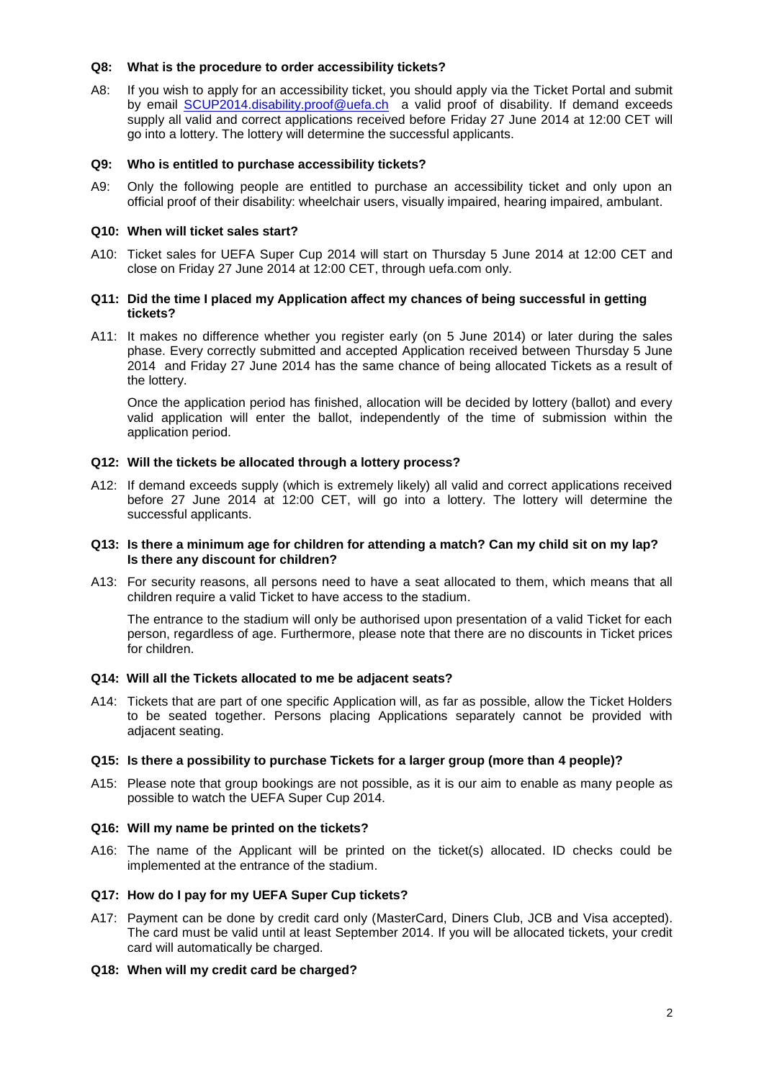## **Q8: What is the procedure to order accessibility tickets?**

A8: If you wish to apply for an accessibility ticket, you should apply via the Ticket Portal and submit by email [SCUP2014.disability.proof@uefa.ch](mailto:SCUP2014.disability.proof@uefa.ch) a valid proof of disability. If demand exceeds supply all valid and correct applications received before Friday 27 June 2014 at 12:00 CET will go into a lottery. The lottery will determine the successful applicants.

## **Q9: Who is entitled to purchase accessibility tickets?**

A9: Only the following people are entitled to purchase an accessibility ticket and only upon an official proof of their disability: wheelchair users, visually impaired, hearing impaired, ambulant.

## **Q10: When will ticket sales start?**

A10: Ticket sales for UEFA Super Cup 2014 will start on Thursday 5 June 2014 at 12:00 CET and close on Friday 27 June 2014 at 12:00 CET, through uefa.com only.

## **Q11: Did the time I placed my Application affect my chances of being successful in getting tickets?**

A11: It makes no difference whether you register early (on 5 June 2014) or later during the sales phase. Every correctly submitted and accepted Application received between Thursday 5 June 2014 and Friday 27 June 2014 has the same chance of being allocated Tickets as a result of the lottery.

Once the application period has finished, allocation will be decided by lottery (ballot) and every valid application will enter the ballot, independently of the time of submission within the application period.

## **Q12: Will the tickets be allocated through a lottery process?**

A12: If demand exceeds supply (which is extremely likely) all valid and correct applications received before 27 June 2014 at 12:00 CET, will go into a lottery. The lottery will determine the successful applicants.

## **Q13: Is there a minimum age for children for attending a match? Can my child sit on my lap? Is there any discount for children?**

A13: For security reasons, all persons need to have a seat allocated to them, which means that all children require a valid Ticket to have access to the stadium.

The entrance to the stadium will only be authorised upon presentation of a valid Ticket for each person, regardless of age. Furthermore, please note that there are no discounts in Ticket prices for children.

# **Q14: Will all the Tickets allocated to me be adjacent seats?**

A14: Tickets that are part of one specific Application will, as far as possible, allow the Ticket Holders to be seated together. Persons placing Applications separately cannot be provided with adjacent seating.

# **Q15: Is there a possibility to purchase Tickets for a larger group (more than 4 people)?**

A15: Please note that group bookings are not possible, as it is our aim to enable as many people as possible to watch the UEFA Super Cup 2014.

## **Q16: Will my name be printed on the tickets?**

A16: The name of the Applicant will be printed on the ticket(s) allocated. ID checks could be implemented at the entrance of the stadium.

## **Q17: How do I pay for my UEFA Super Cup tickets?**

- A17: Payment can be done by credit card only (MasterCard, Diners Club, JCB and Visa accepted). The card must be valid until at least September 2014. If you will be allocated tickets, your credit card will automatically be charged.
- **Q18: When will my credit card be charged?**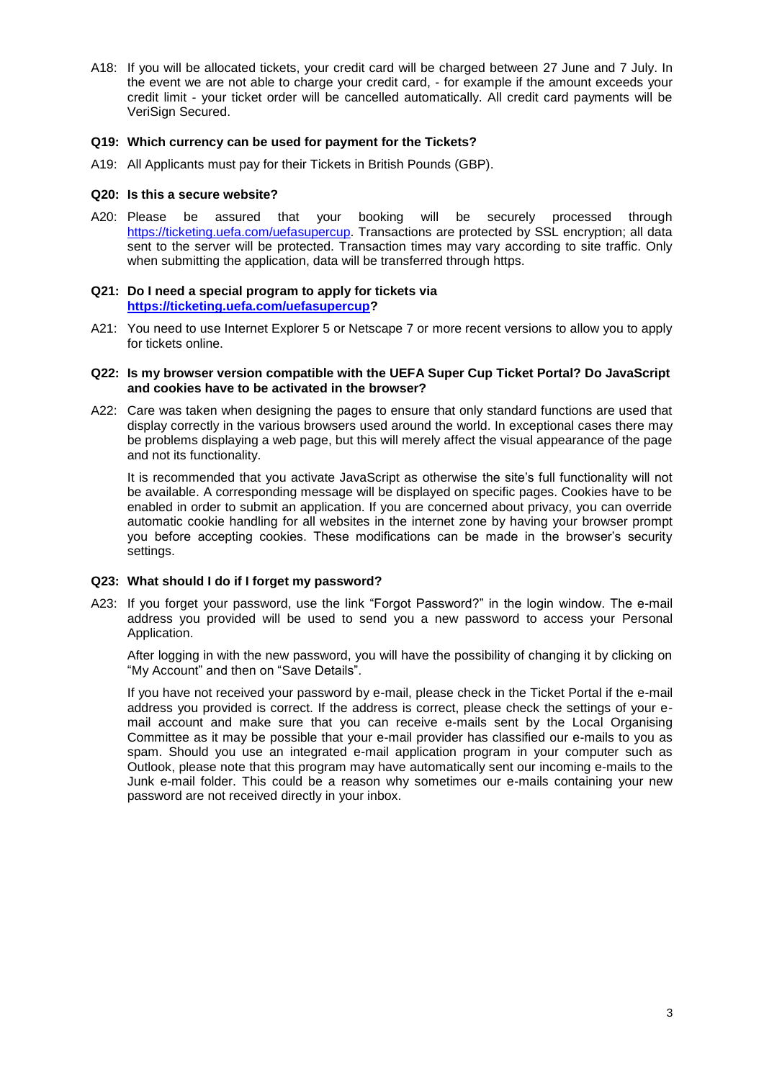A18: If you will be allocated tickets, your credit card will be charged between 27 June and 7 July. In the event we are not able to charge your credit card, - for example if the amount exceeds your credit limit - your ticket order will be cancelled automatically. All credit card payments will be VeriSign Secured.

## **Q19: Which currency can be used for payment for the Tickets?**

A19: All Applicants must pay for their Tickets in British Pounds (GBP).

## **Q20: Is this a secure website?**

A20: Please be assured that your booking will be securely processed through [https://ticketing.uefa.com/uefasupercup.](https://ticketing.uefa.com/uefasupercup) Transactions are protected by SSL encryption; all data sent to the server will be protected. Transaction times may vary according to site traffic. Only when submitting the application, data will be transferred through https.

## **Q21: Do I need a special program to apply for tickets via [https://ticketing.uefa.com/uefasupercup?](https://ticketing.uefa.com/uefasupercup)**

A21: You need to use Internet Explorer 5 or Netscape 7 or more recent versions to allow you to apply for tickets online.

## **Q22: Is my browser version compatible with the UEFA Super Cup Ticket Portal? Do JavaScript and cookies have to be activated in the browser?**

A22: Care was taken when designing the pages to ensure that only standard functions are used that display correctly in the various browsers used around the world. In exceptional cases there may be problems displaying a web page, but this will merely affect the visual appearance of the page and not its functionality.

It is recommended that you activate JavaScript as otherwise the site's full functionality will not be available. A corresponding message will be displayed on specific pages. Cookies have to be enabled in order to submit an application. If you are concerned about privacy, you can override automatic cookie handling for all websites in the internet zone by having your browser prompt you before accepting cookies. These modifications can be made in the browser's security settings.

## **Q23: What should I do if I forget my password?**

A23: If you forget your password, use the link "Forgot Password?" in the login window. The e-mail address you provided will be used to send you a new password to access your Personal Application.

After logging in with the new password, you will have the possibility of changing it by clicking on "My Account" and then on "Save Details".

If you have not received your password by e-mail, please check in the Ticket Portal if the e-mail address you provided is correct. If the address is correct, please check the settings of your email account and make sure that you can receive e-mails sent by the Local Organising Committee as it may be possible that your e-mail provider has classified our e-mails to you as spam. Should you use an integrated e-mail application program in your computer such as Outlook, please note that this program may have automatically sent our incoming e-mails to the Junk e-mail folder. This could be a reason why sometimes our e-mails containing your new password are not received directly in your inbox.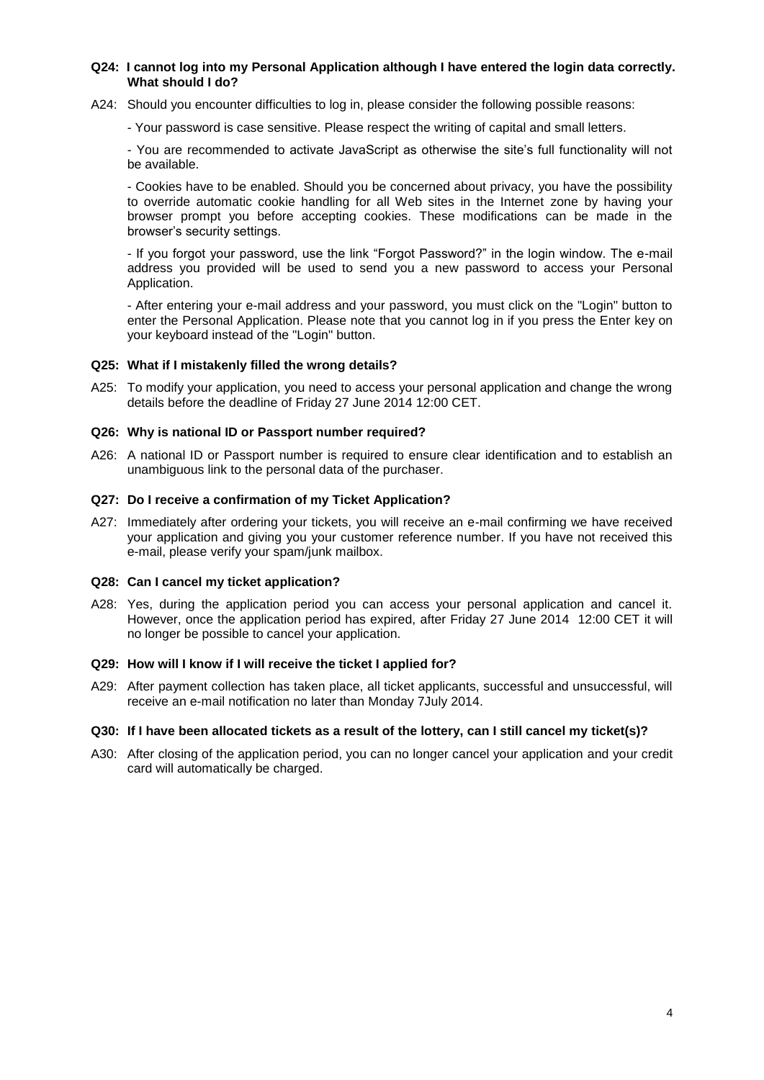## **Q24: I cannot log into my Personal Application although I have entered the login data correctly. What should I do?**

A24: Should you encounter difficulties to log in, please consider the following possible reasons:

- Your password is case sensitive. Please respect the writing of capital and small letters.

- You are recommended to activate JavaScript as otherwise the site's full functionality will not be available.

- Cookies have to be enabled. Should you be concerned about privacy, you have the possibility to override automatic cookie handling for all Web sites in the Internet zone by having your browser prompt you before accepting cookies. These modifications can be made in the browser's security settings.

- If you forgot your password, use the link "Forgot Password?" in the login window. The e-mail address you provided will be used to send you a new password to access your Personal Application.

- After entering your e-mail address and your password, you must click on the "Login" button to enter the Personal Application. Please note that you cannot log in if you press the Enter key on your keyboard instead of the "Login" button.

## **Q25: What if I mistakenly filled the wrong details?**

A25: To modify your application, you need to access your personal application and change the wrong details before the deadline of Friday 27 June 2014 12:00 CET.

## **Q26: Why is national ID or Passport number required?**

A26: A national ID or Passport number is required to ensure clear identification and to establish an unambiguous link to the personal data of the purchaser.

# **Q27: Do I receive a confirmation of my Ticket Application?**

A27: Immediately after ordering your tickets, you will receive an e-mail confirming we have received your application and giving you your customer reference number. If you have not received this e-mail, please verify your spam/junk mailbox.

## **Q28: Can I cancel my ticket application?**

A28: Yes, during the application period you can access your personal application and cancel it. However, once the application period has expired, after Friday 27 June 2014 12:00 CET it will no longer be possible to cancel your application.

## **Q29: How will I know if I will receive the ticket I applied for?**

A29: After payment collection has taken place, all ticket applicants, successful and unsuccessful, will receive an e-mail notification no later than Monday 7July 2014.

## **Q30: If I have been allocated tickets as a result of the lottery, can I still cancel my ticket(s)?**

A30: After closing of the application period, you can no longer cancel your application and your credit card will automatically be charged.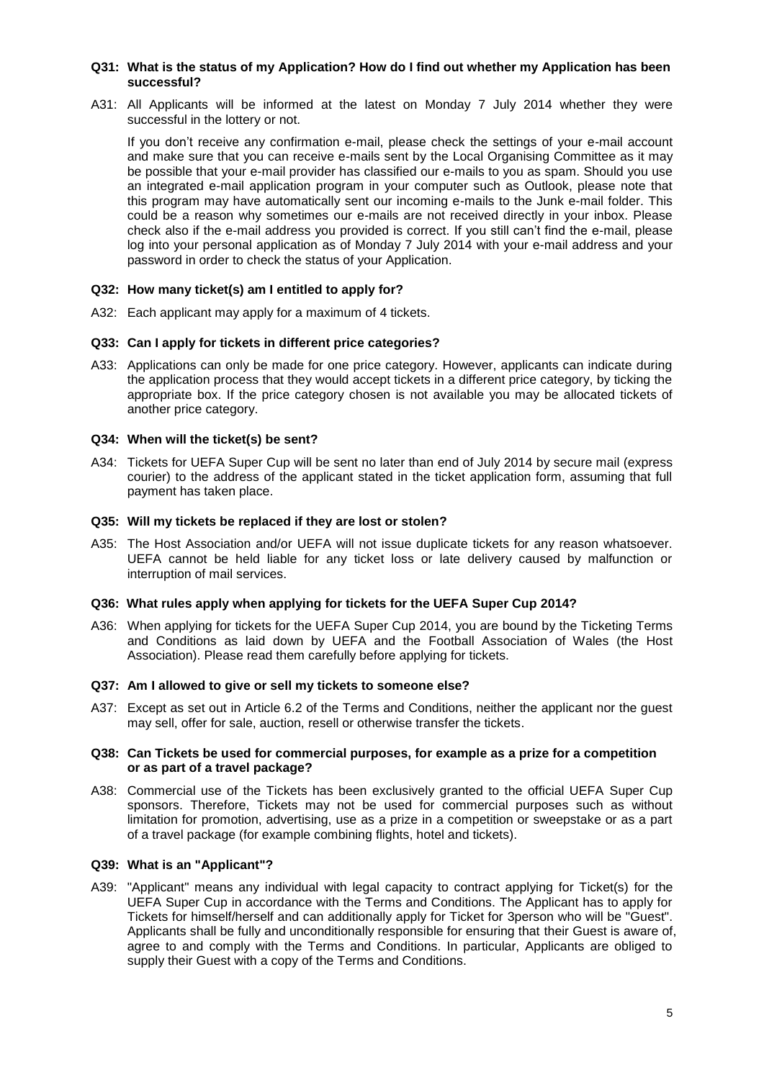#### **Q31: What is the status of my Application? How do I find out whether my Application has been successful?**

A31: All Applicants will be informed at the latest on Monday 7 July 2014 whether they were successful in the lottery or not.

If you don't receive any confirmation e-mail, please check the settings of your e-mail account and make sure that you can receive e-mails sent by the Local Organising Committee as it may be possible that your e-mail provider has classified our e-mails to you as spam. Should you use an integrated e-mail application program in your computer such as Outlook, please note that this program may have automatically sent our incoming e-mails to the Junk e-mail folder. This could be a reason why sometimes our e-mails are not received directly in your inbox. Please check also if the e-mail address you provided is correct. If you still can't find the e-mail, please log into your personal application as of Monday 7 July 2014 with your e-mail address and your password in order to check the status of your Application.

## **Q32: How many ticket(s) am I entitled to apply for?**

A32: Each applicant may apply for a maximum of 4 tickets.

## **Q33: Can I apply for tickets in different price categories?**

A33: Applications can only be made for one price category. However, applicants can indicate during the application process that they would accept tickets in a different price category, by ticking the appropriate box. If the price category chosen is not available you may be allocated tickets of another price category.

## **Q34: When will the ticket(s) be sent?**

A34: Tickets for UEFA Super Cup will be sent no later than end of July 2014 by secure mail (express courier) to the address of the applicant stated in the ticket application form, assuming that full payment has taken place.

## **Q35: Will my tickets be replaced if they are lost or stolen?**

A35: The Host Association and/or UEFA will not issue duplicate tickets for any reason whatsoever. UEFA cannot be held liable for any ticket loss or late delivery caused by malfunction or interruption of mail services.

## **Q36: What rules apply when applying for tickets for the UEFA Super Cup 2014?**

A36: When applying for tickets for the UEFA Super Cup 2014, you are bound by the Ticketing Terms and Conditions as laid down by UEFA and the Football Association of Wales (the Host Association). Please read them carefully before applying for tickets.

## **Q37: Am I allowed to give or sell my tickets to someone else?**

A37: Except as set out in Article 6.2 of the Terms and Conditions, neither the applicant nor the guest may sell, offer for sale, auction, resell or otherwise transfer the tickets.

## **Q38: Can Tickets be used for commercial purposes, for example as a prize for a competition or as part of a travel package?**

A38: Commercial use of the Tickets has been exclusively granted to the official UEFA Super Cup sponsors. Therefore, Tickets may not be used for commercial purposes such as without limitation for promotion, advertising, use as a prize in a competition or sweepstake or as a part of a travel package (for example combining flights, hotel and tickets).

## **Q39: What is an "Applicant"?**

A39: "Applicant" means any individual with legal capacity to contract applying for Ticket(s) for the UEFA Super Cup in accordance with the Terms and Conditions. The Applicant has to apply for Tickets for himself/herself and can additionally apply for Ticket for 3person who will be "Guest". Applicants shall be fully and unconditionally responsible for ensuring that their Guest is aware of, agree to and comply with the Terms and Conditions. In particular, Applicants are obliged to supply their Guest with a copy of the Terms and Conditions.